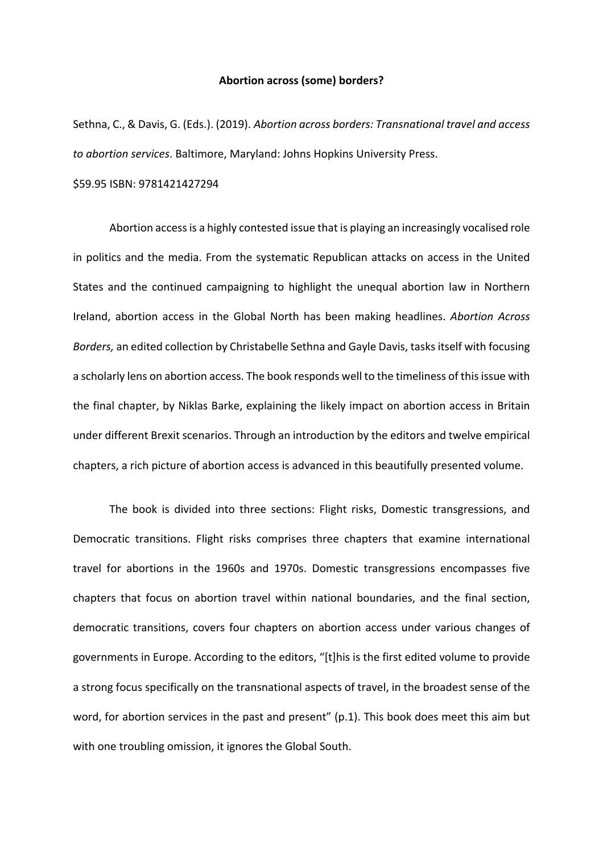#### **Abortion across (some) borders?**

Sethna, C., & Davis, G. (Eds.). (2019). *Abortion across borders: Transnational travel and access to abortion services*. Baltimore, Maryland: Johns Hopkins University Press.

\$59.95 ISBN: 9781421427294

Abortion access is a highly contested issue that is playing an increasingly vocalised role in politics and the media. From the systematic Republican attacks on access in the United States and the continued campaigning to highlight the unequal abortion law in Northern Ireland, abortion access in the Global North has been making headlines. *Abortion Across Borders,* an edited collection by Christabelle Sethna and Gayle Davis, tasks itself with focusing a scholarly lens on abortion access. The book responds well to the timeliness of this issue with the final chapter, by Niklas Barke, explaining the likely impact on abortion access in Britain under different Brexit scenarios. Through an introduction by the editors and twelve empirical chapters, a rich picture of abortion access is advanced in this beautifully presented volume.

The book is divided into three sections: Flight risks, Domestic transgressions, and Democratic transitions. Flight risks comprises three chapters that examine international travel for abortions in the 1960s and 1970s. Domestic transgressions encompasses five chapters that focus on abortion travel within national boundaries, and the final section, democratic transitions, covers four chapters on abortion access under various changes of governments in Europe. According to the editors, "[t]his is the first edited volume to provide a strong focus specifically on the transnational aspects of travel, in the broadest sense of the word, for abortion services in the past and present" (p.1). This book does meet this aim but with one troubling omission, it ignores the Global South.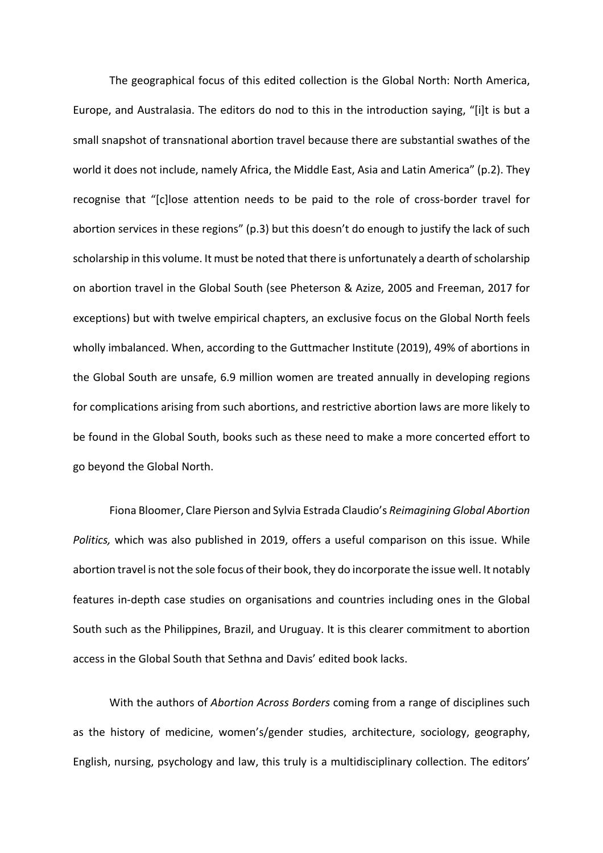The geographical focus of this edited collection is the Global North: North America, Europe, and Australasia. The editors do nod to this in the introduction saying, "[i]t is but a small snapshot of transnational abortion travel because there are substantial swathes of the world it does not include, namely Africa, the Middle East, Asia and Latin America" (p.2). They recognise that "[c]lose attention needs to be paid to the role of cross-border travel for abortion services in these regions" (p.3) but this doesn't do enough to justify the lack of such scholarship in this volume. It must be noted that there is unfortunately a dearth of scholarship on abortion travel in the Global South (see Pheterson & Azize, 2005 and Freeman, 2017 for exceptions) but with twelve empirical chapters, an exclusive focus on the Global North feels wholly imbalanced. When, according to the Guttmacher Institute (2019), 49% of abortions in the Global South are unsafe, 6.9 million women are treated annually in developing regions for complications arising from such abortions, and restrictive abortion laws are more likely to be found in the Global South, books such as these need to make a more concerted effort to go beyond the Global North.

Fiona Bloomer, Clare Pierson and Sylvia Estrada Claudio's *Reimagining Global Abortion Politics,* which was also published in 2019, offers a useful comparison on this issue. While abortion travel is not the sole focus of their book, they do incorporate the issue well. It notably features in-depth case studies on organisations and countries including ones in the Global South such as the Philippines, Brazil, and Uruguay. It is this clearer commitment to abortion access in the Global South that Sethna and Davis' edited book lacks.

With the authors of *Abortion Across Borders* coming from a range of disciplines such as the history of medicine, women's/gender studies, architecture, sociology, geography, English, nursing, psychology and law, this truly is a multidisciplinary collection. The editors'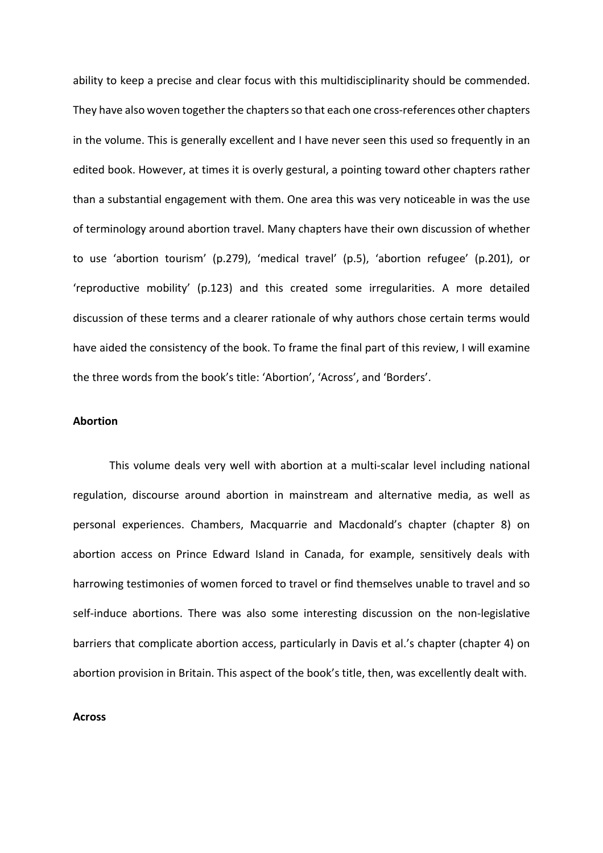ability to keep a precise and clear focus with this multidisciplinarity should be commended. They have also woven together the chapters so that each one cross-references other chapters in the volume. This is generally excellent and I have never seen this used so frequently in an edited book. However, at times it is overly gestural, a pointing toward other chapters rather than a substantial engagement with them. One area this was very noticeable in was the use of terminology around abortion travel. Many chapters have their own discussion of whether to use 'abortion tourism' (p.279), 'medical travel' (p.5), 'abortion refugee' (p.201), or 'reproductive mobility' (p.123) and this created some irregularities. A more detailed discussion of these terms and a clearer rationale of why authors chose certain terms would have aided the consistency of the book. To frame the final part of this review, I will examine the three words from the book's title: 'Abortion', 'Across', and 'Borders'.

# **Abortion**

This volume deals very well with abortion at a multi-scalar level including national regulation, discourse around abortion in mainstream and alternative media, as well as personal experiences. Chambers, Macquarrie and Macdonald's chapter (chapter 8) on abortion access on Prince Edward Island in Canada, for example, sensitively deals with harrowing testimonies of women forced to travel or find themselves unable to travel and so self-induce abortions. There was also some interesting discussion on the non-legislative barriers that complicate abortion access, particularly in Davis et al.'s chapter (chapter 4) on abortion provision in Britain. This aspect of the book's title, then, was excellently dealt with.

### **Across**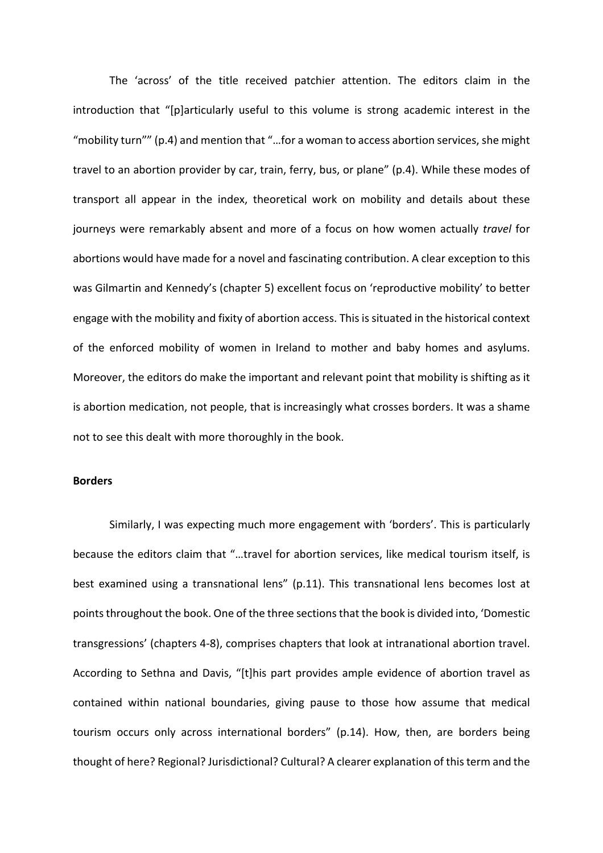The 'across' of the title received patchier attention. The editors claim in the introduction that "[p]articularly useful to this volume is strong academic interest in the "mobility turn"" (p.4) and mention that "…for a woman to access abortion services, she might travel to an abortion provider by car, train, ferry, bus, or plane" (p.4). While these modes of transport all appear in the index, theoretical work on mobility and details about these journeys were remarkably absent and more of a focus on how women actually *travel* for abortions would have made for a novel and fascinating contribution. A clear exception to this was Gilmartin and Kennedy's (chapter 5) excellent focus on 'reproductive mobility' to better engage with the mobility and fixity of abortion access. This is situated in the historical context of the enforced mobility of women in Ireland to mother and baby homes and asylums. Moreover, the editors do make the important and relevant point that mobility is shifting as it is abortion medication, not people, that is increasingly what crosses borders. It was a shame not to see this dealt with more thoroughly in the book.

### **Borders**

Similarly, I was expecting much more engagement with 'borders'. This is particularly because the editors claim that "…travel for abortion services, like medical tourism itself, is best examined using a transnational lens" (p.11). This transnational lens becomes lost at points throughout the book. One of the three sections that the book is divided into, 'Domestic transgressions' (chapters 4-8), comprises chapters that look at intranational abortion travel. According to Sethna and Davis, "[t]his part provides ample evidence of abortion travel as contained within national boundaries, giving pause to those how assume that medical tourism occurs only across international borders" (p.14). How, then, are borders being thought of here? Regional? Jurisdictional? Cultural? A clearer explanation of this term and the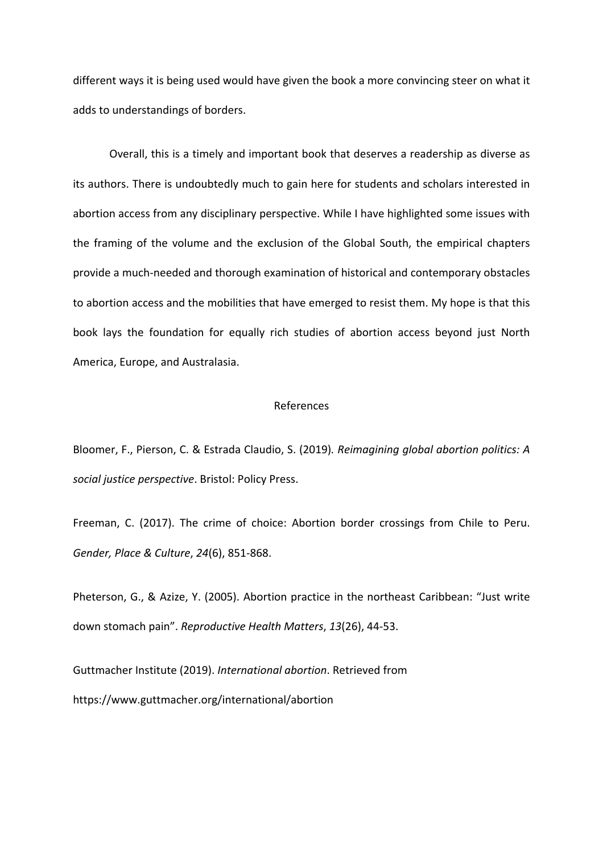different ways it is being used would have given the book a more convincing steer on what it adds to understandings of borders.

Overall, this is a timely and important book that deserves a readership as diverse as its authors. There is undoubtedly much to gain here for students and scholars interested in abortion access from any disciplinary perspective. While I have highlighted some issues with the framing of the volume and the exclusion of the Global South, the empirical chapters provide a much-needed and thorough examination of historical and contemporary obstacles to abortion access and the mobilities that have emerged to resist them. My hope is that this book lays the foundation for equally rich studies of abortion access beyond just North America, Europe, and Australasia.

## References

Bloomer, F., Pierson, C. & Estrada Claudio, S. (2019)*. Reimagining global abortion politics: A social justice perspective*. Bristol: Policy Press.

Freeman, C. (2017). The crime of choice: Abortion border crossings from Chile to Peru. *Gender, Place & Culture*, *24*(6), 851-868.

Pheterson, G., & Azize, Y. (2005). Abortion practice in the northeast Caribbean: "Just write down stomach pain". *Reproductive Health Matters*, *13*(26), 44-53.

Guttmacher Institute (2019). *International abortion*. Retrieved from https://www.guttmacher.org/international/abortion